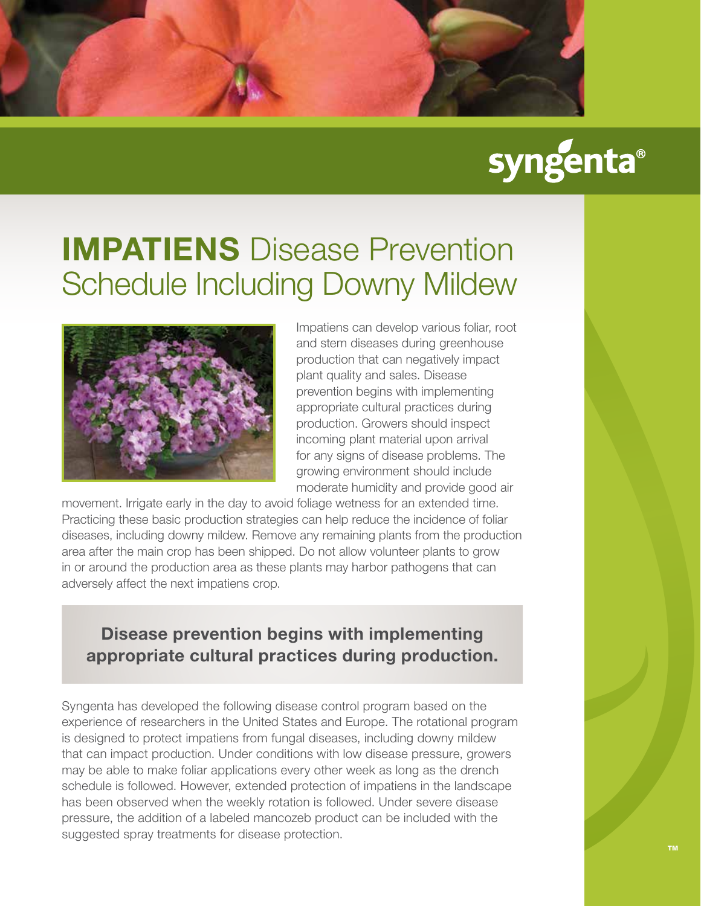

## syngenta®

## **IMPATIENS** Disease Prevention Schedule Including Downy Mildew



Impatiens can develop various foliar, root and stem diseases during greenhouse production that can negatively impact plant quality and sales. Disease prevention begins with implementing appropriate cultural practices during production. Growers should inspect incoming plant material upon arrival for any signs of disease problems. The growing environment should include moderate humidity and provide good air

movement. Irrigate early in the day to avoid foliage wetness for an extended time. Practicing these basic production strategies can help reduce the incidence of foliar diseases, including downy mildew. Remove any remaining plants from the production area after the main crop has been shipped. Do not allow volunteer plants to grow in or around the production area as these plants may harbor pathogens that can adversely affect the next impatiens crop.

## **Disease prevention begins with implementing appropriate cultural practices during production.**

Syngenta has developed the following disease control program based on the experience of researchers in the United States and Europe. The rotational program is designed to protect impatiens from fungal diseases, including downy mildew that can impact production. Under conditions with low disease pressure, growers may be able to make foliar applications every other week as long as the drench schedule is followed. However, extended protection of impatiens in the landscape has been observed when the weekly rotation is followed. Under severe disease pressure, the addition of a labeled mancozeb product can be included with the suggested spray treatments for disease protection.